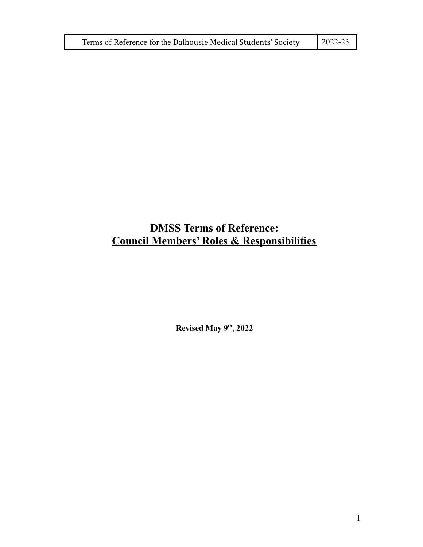| Terms of Reference for the Dalhousie Medical Students' Society | $2022 - 23$ |
|----------------------------------------------------------------|-------------|
|----------------------------------------------------------------|-------------|

# **DMSS Terms of Reference: Council Members' Roles & Responsibilities**

**Revised May 9th , 2022**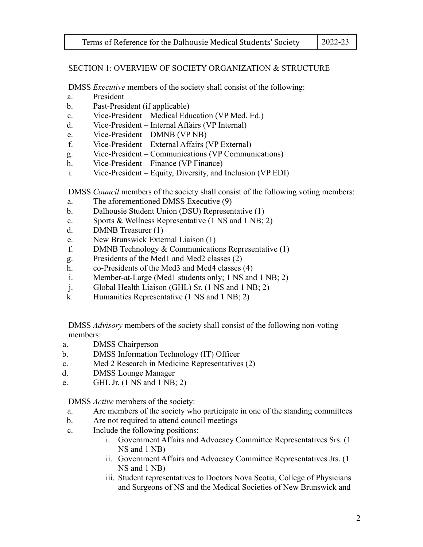# SECTION 1: OVERVIEW OF SOCIETY ORGANIZATION & STRUCTURE

DMSS *Executive* members of the society shall consist of the following:

- a. President
- b. Past-President (if applicable)
- c. Vice-President Medical Education (VP Med. Ed.)
- d. Vice-President Internal Affairs (VP Internal)
- e. Vice-President DMNB (VP NB)
- f. Vice-President External Affairs (VP External)
- g. Vice-President Communications (VP Communications)
- h. Vice-President Finance (VP Finance)
- i. Vice-President Equity, Diversity, and Inclusion (VP EDI)

DMSS *Council* members of the society shall consist of the following voting members:

- a. The aforementioned DMSS Executive (9)
- b. Dalhousie Student Union (DSU) Representative (1)
- c. Sports & Wellness Representative (1 NS and 1 NB; 2)
- d. DMNB Treasurer (1)
- e. New Brunswick External Liaison (1)
- f. DMNB Technology & Communications Representative (1)
- g. Presidents of the Med1 and Med2 classes (2)
- h. co-Presidents of the Med3 and Med4 classes (4)
- i. Member-at-Large (Med1 students only; 1 NS and 1 NB; 2)
- j. Global Health Liaison (GHL) Sr. (1 NS and 1 NB; 2)
- k. Humanities Representative (1 NS and 1 NB; 2)

DMSS *Advisory* members of the society shall consist of the following non-voting members:

- a. DMSS Chairperson
- b. DMSS Information Technology (IT) Officer
- c. Med 2 Research in Medicine Representatives (2)
- d. DMSS Lounge Manager
- e. GHL Jr. (1 NS and 1 NB; 2)

DMSS *Active* members of the society:

- a. Are members of the society who participate in one of the standing committees
- b. Are not required to attend council meetings
- c. Include the following positions:
	- i. Government Affairs and Advocacy Committee Representatives Srs. (1 NS and 1 NB)
	- ii. Government Affairs and Advocacy Committee Representatives Jrs. (1 NS and 1 NB)
	- iii. Student representatives to Doctors Nova Scotia, College of Physicians and Surgeons of NS and the Medical Societies of New Brunswick and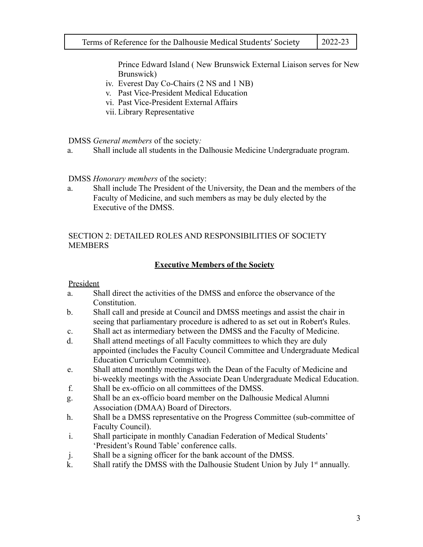Prince Edward Island ( New Brunswick External Liaison serves for New Brunswick)

- iv. Everest Day Co-Chairs (2 NS and 1 NB)
- v. Past Vice-President Medical Education
- vi. Past Vice-President External Affairs
- vii. Library Representative

DMSS *General members* of the society*:*

a. Shall include all students in the Dalhousie Medicine Undergraduate program.

DMSS *Honorary members* of the society:

a. Shall include The President of the University, the Dean and the members of the Faculty of Medicine, and such members as may be duly elected by the Executive of the DMSS.

#### SECTION 2: DETAILED ROLES AND RESPONSIBILITIES OF SOCIETY MEMBERS

# **Executive Members of the Society**

President

- a. Shall direct the activities of the DMSS and enforce the observance of the Constitution.
- b. Shall call and preside at Council and DMSS meetings and assist the chair in seeing that parliamentary procedure is adhered to as set out in Robert's Rules.
- c. Shall act as intermediary between the DMSS and the Faculty of Medicine.
- d. Shall attend meetings of all Faculty committees to which they are duly appointed (includes the Faculty Council Committee and Undergraduate Medical Education Curriculum Committee).
- e. Shall attend monthly meetings with the Dean of the Faculty of Medicine and bi-weekly meetings with the Associate Dean Undergraduate Medical Education.
- f. Shall be ex-officio on all committees of the DMSS.
- g. Shall be an ex-officio board member on the Dalhousie Medical Alumni Association (DMAA) Board of Directors.
- h. Shall be a DMSS representative on the Progress Committee (sub-committee of Faculty Council).
- i. Shall participate in monthly Canadian Federation of Medical Students' 'President's Round Table' conference calls.
- j. Shall be a signing officer for the bank account of the DMSS.
- k. Shall ratify the DMSS with the Dalhousie Student Union by July  $1<sup>st</sup>$  annually.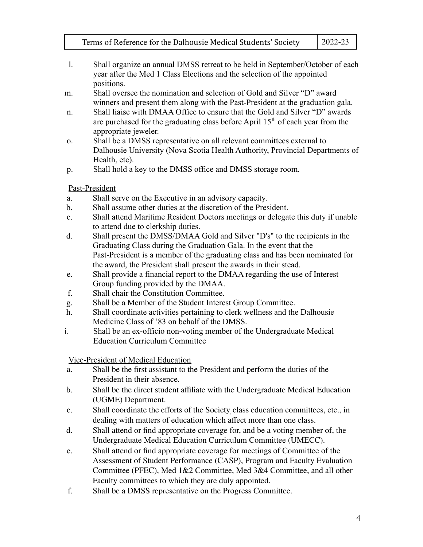- 
- l. Shall organize an annual DMSS retreat to be held in September/October of each year after the Med 1 Class Elections and the selection of the appointed positions.
- m. Shall oversee the nomination and selection of Gold and Silver "D" award winners and present them along with the Past-President at the graduation gala.
- n. Shall liaise with DMAA Office to ensure that the Gold and Silver "D" awards are purchased for the graduating class before April  $15<sup>th</sup>$  of each year from the appropriate jeweler.
- o. Shall be a DMSS representative on all relevant committees external to Dalhousie University (Nova Scotia Health Authority, Provincial Departments of Health, etc).
- p. Shall hold a key to the DMSS office and DMSS storage room.

# Past-President

- a. Shall serve on the Executive in an advisory capacity.
- b. Shall assume other duties at the discretion of the President.
- c. Shall attend Maritime Resident Doctors meetings or delegate this duty if unable to attend due to clerkship duties.
- d. Shall present the DMSS/DMAA Gold and Silver "D's" to the recipients in the Graduating Class during the Graduation Gala. In the event that the Past-President is a member of the graduating class and has been nominated for the award, the President shall present the awards in their stead.
- e. Shall provide a financial report to the DMAA regarding the use of Interest Group funding provided by the DMAA.
- f. Shall chair the Constitution Committee.
- g. Shall be a Member of the Student Interest Group Committee.
- h. Shall coordinate activities pertaining to clerk wellness and the Dalhousie Medicine Class of '83 on behalf of the DMSS.
- i. Shall be an ex-officio non-voting member of the Undergraduate Medical Education Curriculum Committee

Vice-President of Medical Education

- a. Shall be the first assistant to the President and perform the duties of the President in their absence.
- b. Shall be the direct student affiliate with the Undergraduate Medical Education (UGME) Department.
- c. Shall coordinate the efforts of the Society, class education committees, etc., in dealing with matters of education which affect more than one class.
- d. Shall attend or find appropriate coverage for, and be a voting member of, the Undergraduate Medical Education Curriculum Committee (UMECC).
- e. Shall attend or find appropriate coverage for meetings of Committee of the Assessment of Student Performance (CASP), Program and Faculty Evaluation Committee (PFEC), Med 1&2 Committee, Med 3&4 Committee, and all other Faculty committees to which they are duly appointed.
- f. Shall be a DMSS representative on the Progress Committee.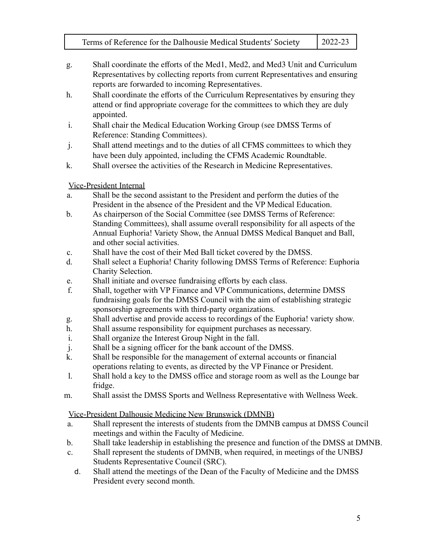- g. Shall coordinate the efforts of the Med1, Med2, and Med3 Unit and Curriculum Representatives by collecting reports from current Representatives and ensuring reports are forwarded to incoming Representatives.
- h. Shall coordinate the efforts of the Curriculum Representatives by ensuring they attend or find appropriate coverage for the committees to which they are duly appointed.
- i. Shall chair the Medical Education Working Group (see DMSS Terms of Reference: Standing Committees).
- j. Shall attend meetings and to the duties of all CFMS committees to which they have been duly appointed, including the CFMS Academic Roundtable.
- k. Shall oversee the activities of the Research in Medicine Representatives.

# Vice-President Internal

- a. Shall be the second assistant to the President and perform the duties of the President in the absence of the President and the VP Medical Education.
- b. As chairperson of the Social Committee (see DMSS Terms of Reference: Standing Committees), shall assume overall responsibility for all aspects of the Annual Euphoria! Variety Show, the Annual DMSS Medical Banquet and Ball, and other social activities.
- c. Shall have the cost of their Med Ball ticket covered by the DMSS.
- d. Shall select a Euphoria! Charity following DMSS Terms of Reference: Euphoria Charity Selection.
- e. Shall initiate and oversee fundraising efforts by each class.
- f. Shall, together with VP Finance and VP Communications, determine DMSS fundraising goals for the DMSS Council with the aim of establishing strategic sponsorship agreements with third-party organizations.
- g. Shall advertise and provide access to recordings of the Euphoria! variety show.
- h. Shall assume responsibility for equipment purchases as necessary.
- i. Shall organize the Interest Group Night in the fall.
- j. Shall be a signing officer for the bank account of the DMSS.
- k. Shall be responsible for the management of external accounts or financial operations relating to events, as directed by the VP Finance or President.
- l. Shall hold a key to the DMSS office and storage room as well as the Lounge bar fridge.
- m. Shall assist the DMSS Sports and Wellness Representative with Wellness Week.

# Vice-President Dalhousie Medicine New Brunswick (DMNB)

- a. Shall represent the interests of students from the DMNB campus at DMSS Council meetings and within the Faculty of Medicine.
- b. Shall take leadership in establishing the presence and function of the DMSS at DMNB.
- c. Shall represent the students of DMNB, when required, in meetings of the UNBSJ Students Representative Council (SRC).
	- d. Shall attend the meetings of the Dean of the Faculty of Medicine and the DMSS President every second month.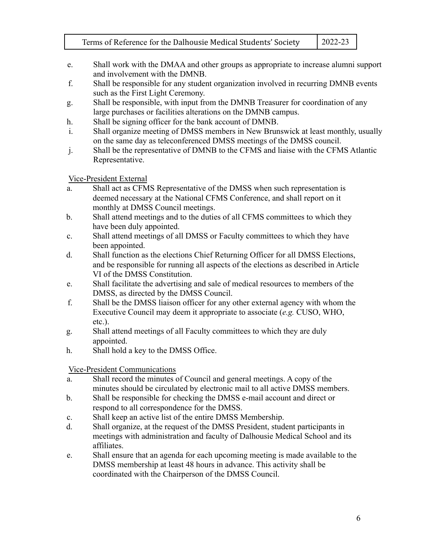- e. Shall work with the DMAA and other groups as appropriate to increase alumni support and involvement with the DMNB.
- f. Shall be responsible for any student organization involved in recurring DMNB events such as the First Light Ceremony.
- g. Shall be responsible, with input from the DMNB Treasurer for coordination of any large purchases or facilities alterations on the DMNB campus.
- h. Shall be signing officer for the bank account of DMNB.
- i. Shall organize meeting of DMSS members in New Brunswick at least monthly, usually on the same day as teleconferenced DMSS meetings of the DMSS council.
- j. Shall be the representative of DMNB to the CFMS and liaise with the CFMS Atlantic Representative.

#### Vice-President External

- a. Shall act as CFMS Representative of the DMSS when such representation is deemed necessary at the National CFMS Conference, and shall report on it monthly at DMSS Council meetings.
- b. Shall attend meetings and to the duties of all CFMS committees to which they have been duly appointed.
- c. Shall attend meetings of all DMSS or Faculty committees to which they have been appointed.
- d. Shall function as the elections Chief Returning Officer for all DMSS Elections, and be responsible for running all aspects of the elections as described in Article VI of the DMSS Constitution.
- e. Shall facilitate the advertising and sale of medical resources to members of the DMSS, as directed by the DMSS Council.
- f. Shall be the DMSS liaison officer for any other external agency with whom the Executive Council may deem it appropriate to associate (*e.g.* CUSO, WHO, etc.).
- g. Shall attend meetings of all Faculty committees to which they are duly appointed.
- h. Shall hold a key to the DMSS Office.

# Vice-President Communications

- a. Shall record the minutes of Council and general meetings. A copy of the minutes should be circulated by electronic mail to all active DMSS members.
- b. Shall be responsible for checking the DMSS e-mail account and direct or respond to all correspondence for the DMSS.
- c. Shall keep an active list of the entire DMSS Membership.
- d. Shall organize, at the request of the DMSS President, student participants in meetings with administration and faculty of Dalhousie Medical School and its affiliates.
- e. Shall ensure that an agenda for each upcoming meeting is made available to the DMSS membership at least 48 hours in advance. This activity shall be coordinated with the Chairperson of the DMSS Council.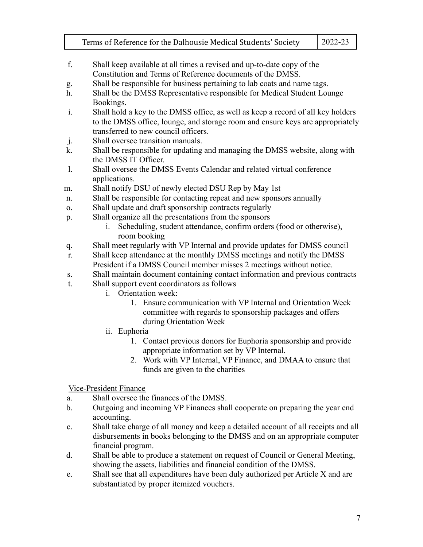|                | Terms of Reference for the Dalhousie Medical Students' Society                                      | 2022-23 |  |  |
|----------------|-----------------------------------------------------------------------------------------------------|---------|--|--|
|                |                                                                                                     |         |  |  |
| f.             | Shall keep available at all times a revised and up-to-date copy of the                              |         |  |  |
|                | Constitution and Terms of Reference documents of the DMSS.                                          |         |  |  |
| g.             | Shall be responsible for business pertaining to lab coats and name tags.                            |         |  |  |
| h.             | Shall be the DMSS Representative responsible for Medical Student Lounge                             |         |  |  |
|                | Bookings.                                                                                           |         |  |  |
| $\mathbf{i}$ . | Shall hold a key to the DMSS office, as well as keep a record of all key holders                    |         |  |  |
|                | to the DMSS office, lounge, and storage room and ensure keys are appropriately                      |         |  |  |
|                | transferred to new council officers.                                                                |         |  |  |
| j.<br>k.       | Shall oversee transition manuals.                                                                   |         |  |  |
|                | Shall be responsible for updating and managing the DMSS website, along with<br>the DMSS IT Officer. |         |  |  |
| 1.             | Shall oversee the DMSS Events Calendar and related virtual conference                               |         |  |  |
|                | applications.                                                                                       |         |  |  |
| m.             | Shall notify DSU of newly elected DSU Rep by May 1st                                                |         |  |  |
| $n_{\rm{}}$    | Shall be responsible for contacting repeat and new sponsors annually                                |         |  |  |
| 0.             | Shall update and draft sponsorship contracts regularly                                              |         |  |  |
| p.             | Shall organize all the presentations from the sponsors                                              |         |  |  |
|                | Scheduling, student attendance, confirm orders (food or otherwise),<br>$\mathbf{i}$ .               |         |  |  |
|                | room booking                                                                                        |         |  |  |
| q.             | Shall meet regularly with VP Internal and provide updates for DMSS council                          |         |  |  |
| r.             | Shall keep attendance at the monthly DMSS meetings and notify the DMSS                              |         |  |  |
|                | President if a DMSS Council member misses 2 meetings without notice.                                |         |  |  |
| S.             | Shall maintain document containing contact information and previous contracts                       |         |  |  |
| t.             | Shall support event coordinators as follows                                                         |         |  |  |
|                | Orientation week:<br>i.                                                                             |         |  |  |
|                | 1. Ensure communication with VP Internal and Orientation Week                                       |         |  |  |
|                | committee with regards to sponsorship packages and offers                                           |         |  |  |
|                | during Orientation Week                                                                             |         |  |  |
| ii. Euphoria   |                                                                                                     |         |  |  |

- 1. Contact previous donors for Euphoria sponsorship and provide appropriate information set by VP Internal.
- 2. Work with VP Internal, VP Finance, and DMAA to ensure that funds are given to the charities

Vice-President Finance

- a. Shall oversee the finances of the DMSS.
- b. Outgoing and incoming VP Finances shall cooperate on preparing the year end accounting.
- c. Shall take charge of all money and keep a detailed account of all receipts and all disbursements in books belonging to the DMSS and on an appropriate computer financial program.
- d. Shall be able to produce a statement on request of Council or General Meeting, showing the assets, liabilities and financial condition of the DMSS.
- e. Shall see that all expenditures have been duly authorized per Article X and are substantiated by proper itemized vouchers.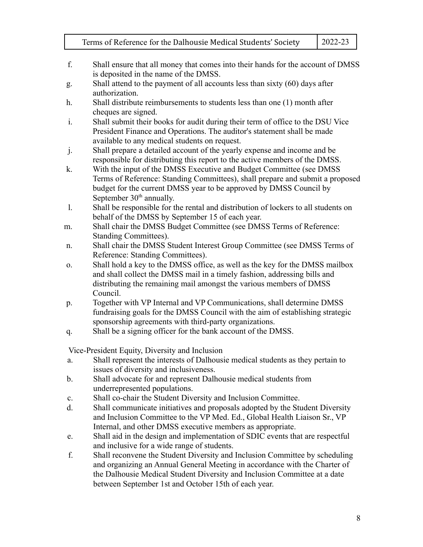- f. Shall ensure that all money that comes into their hands for the account of DMSS is deposited in the name of the DMSS.
- g. Shall attend to the payment of all accounts less than sixty (60) days after authorization.
- h. Shall distribute reimbursements to students less than one (1) month after cheques are signed.
- i. Shall submit their books for audit during their term of office to the DSU Vice President Finance and Operations. The auditor's statement shall be made available to any medical students on request.
- j. Shall prepare a detailed account of the yearly expense and income and be responsible for distributing this report to the active members of the DMSS.
- k. With the input of the DMSS Executive and Budget Committee (see DMSS Terms of Reference: Standing Committees), shall prepare and submit a proposed budget for the current DMSS year to be approved by DMSS Council by September  $30<sup>th</sup>$  annually.
- l. Shall be responsible for the rental and distribution of lockers to all students on behalf of the DMSS by September 15 of each year.
- m. Shall chair the DMSS Budget Committee (see DMSS Terms of Reference: Standing Committees).
- n. Shall chair the DMSS Student Interest Group Committee (see DMSS Terms of Reference: Standing Committees).
- o. Shall hold a key to the DMSS office, as well as the key for the DMSS mailbox and shall collect the DMSS mail in a timely fashion, addressing bills and distributing the remaining mail amongst the various members of DMSS Council.
- p. Together with VP Internal and VP Communications, shall determine DMSS fundraising goals for the DMSS Council with the aim of establishing strategic sponsorship agreements with third-party organizations.
- q. Shall be a signing officer for the bank account of the DMSS.

Vice-President Equity, Diversity and Inclusion

- a. Shall represent the interests of Dalhousie medical students as they pertain to issues of diversity and inclusiveness.
- b. Shall advocate for and represent Dalhousie medical students from underrepresented populations.
- c. Shall co-chair the Student Diversity and Inclusion Committee.
- d. Shall communicate initiatives and proposals adopted by the Student Diversity and Inclusion Committee to the VP Med. Ed., Global Health Liaison Sr., VP Internal, and other DMSS executive members as appropriate.
- e. Shall aid in the design and implementation of SDIC events that are respectful and inclusive for a wide range of students.
- f. Shall reconvene the Student Diversity and Inclusion Committee by scheduling and organizing an Annual General Meeting in accordance with the Charter of the Dalhousie Medical Student Diversity and Inclusion Committee at a date between September 1st and October 15th of each year.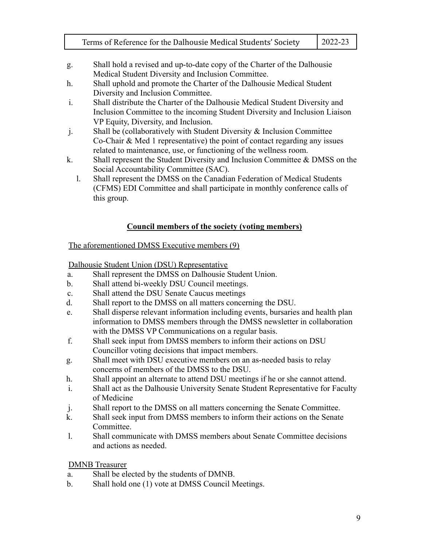- g. Shall hold a revised and up-to-date copy of the Charter of the Dalhousie Medical Student Diversity and Inclusion Committee.
- h. Shall uphold and promote the Charter of the Dalhousie Medical Student Diversity and Inclusion Committee.
- i. Shall distribute the Charter of the Dalhousie Medical Student Diversity and Inclusion Committee to the incoming Student Diversity and Inclusion Liaison VP Equity, Diversity, and Inclusion.
- j. Shall be (collaboratively with Student Diversity & Inclusion Committee Co-Chair & Med 1 representative) the point of contact regarding any issues related to maintenance, use, or functioning of the wellness room.
- k. Shall represent the Student Diversity and Inclusion Committee & DMSS on the Social Accountability Committee (SAC).
	- l. Shall represent the DMSS on the Canadian Federation of Medical Students (CFMS) EDI Committee and shall participate in monthly conference calls of this group.

# **Council members of the society (voting members)**

# The aforementioned DMSS Executive members (9)

Dalhousie Student Union (DSU) Representative

- a. Shall represent the DMSS on Dalhousie Student Union.
- b. Shall attend bi-weekly DSU Council meetings.
- c. Shall attend the DSU Senate Caucus meetings
- d. Shall report to the DMSS on all matters concerning the DSU.
- e. Shall disperse relevant information including events, bursaries and health plan information to DMSS members through the DMSS newsletter in collaboration with the DMSS VP Communications on a regular basis.
- f. Shall seek input from DMSS members to inform their actions on DSU Councillor voting decisions that impact members.
- g. Shall meet with DSU executive members on an as-needed basis to relay concerns of members of the DMSS to the DSU.
- h. Shall appoint an alternate to attend DSU meetings if he or she cannot attend.
- i. Shall act as the Dalhousie University Senate Student Representative for Faculty of Medicine
- j. Shall report to the DMSS on all matters concerning the Senate Committee.
- k. Shall seek input from DMSS members to inform their actions on the Senate **Committee**
- l. Shall communicate with DMSS members about Senate Committee decisions and actions as needed.

DMNB Treasurer

- a. Shall be elected by the students of DMNB.
- b. Shall hold one (1) vote at DMSS Council Meetings.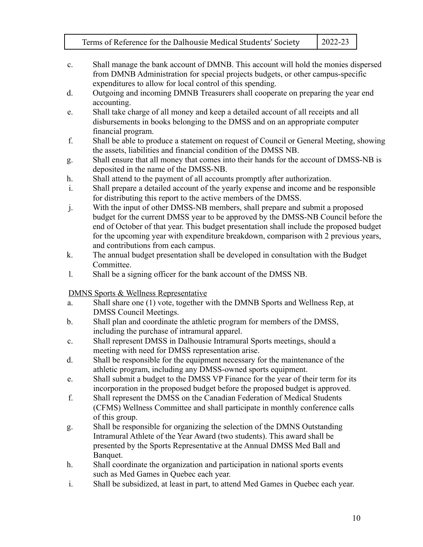- c. Shall manage the bank account of DMNB. This account will hold the monies dispersed from DMNB Administration for special projects budgets, or other campus-specific expenditures to allow for local control of this spending.
- d. Outgoing and incoming DMNB Treasurers shall cooperate on preparing the year end accounting.
- e. Shall take charge of all money and keep a detailed account of all receipts and all disbursements in books belonging to the DMSS and on an appropriate computer financial program.
- f. Shall be able to produce a statement on request of Council or General Meeting, showing the assets, liabilities and financial condition of the DMSS NB.
- g. Shall ensure that all money that comes into their hands for the account of DMSS-NB is deposited in the name of the DMSS-NB.
- h. Shall attend to the payment of all accounts promptly after authorization.
- i. Shall prepare a detailed account of the yearly expense and income and be responsible for distributing this report to the active members of the DMSS.
- j. With the input of other DMSS-NB members, shall prepare and submit a proposed budget for the current DMSS year to be approved by the DMSS-NB Council before the end of October of that year. This budget presentation shall include the proposed budget for the upcoming year with expenditure breakdown, comparison with 2 previous years, and contributions from each campus.
- k. The annual budget presentation shall be developed in consultation with the Budget **Committee**
- l. Shall be a signing officer for the bank account of the DMSS NB.

DMNS Sports & Wellness Representative

- a. Shall share one (1) vote, together with the DMNB Sports and Wellness Rep, at DMSS Council Meetings.
- b. Shall plan and coordinate the athletic program for members of the DMSS, including the purchase of intramural apparel.
- c. Shall represent DMSS in Dalhousie Intramural Sports meetings, should a meeting with need for DMSS representation arise.
- d. Shall be responsible for the equipment necessary for the maintenance of the athletic program, including any DMSS-owned sports equipment.
- e. Shall submit a budget to the DMSS VP Finance for the year of their term for its incorporation in the proposed budget before the proposed budget is approved.
- f. Shall represent the DMSS on the Canadian Federation of Medical Students (CFMS) Wellness Committee and shall participate in monthly conference calls of this group.
- g. Shall be responsible for organizing the selection of the DMNS Outstanding Intramural Athlete of the Year Award (two students). This award shall be presented by the Sports Representative at the Annual DMSS Med Ball and Banquet.
- h. Shall coordinate the organization and participation in national sports events such as Med Games in Quebec each year.
- i. Shall be subsidized, at least in part, to attend Med Games in Quebec each year.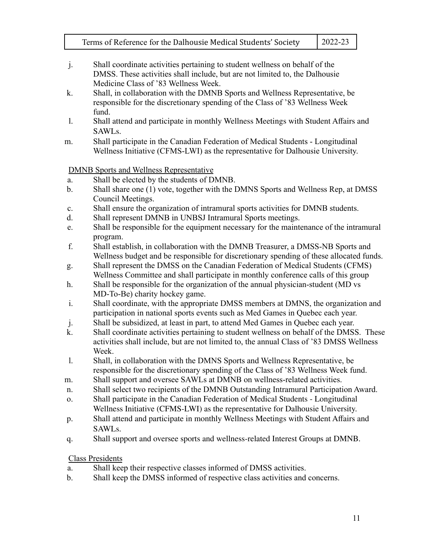- j. Shall coordinate activities pertaining to student wellness on behalf of the DMSS. These activities shall include, but are not limited to, the Dalhousie Medicine Class of '83 Wellness Week.
- k. Shall, in collaboration with the DMNB Sports and Wellness Representative, be responsible for the discretionary spending of the Class of '83 Wellness Week fund.
- l. Shall attend and participate in monthly Wellness Meetings with Student Affairs and SAWLs.
- m. Shall participate in the Canadian Federation of Medical Students Longitudinal Wellness Initiative (CFMS-LWI) as the representative for Dalhousie University.

DMNB Sports and Wellness Representative

- a. Shall be elected by the students of DMNB.
- b. Shall share one (1) vote, together with the DMNS Sports and Wellness Rep, at DMSS Council Meetings.
- c. Shall ensure the organization of intramural sports activities for DMNB students.
- d. Shall represent DMNB in UNBSJ Intramural Sports meetings.
- e. Shall be responsible for the equipment necessary for the maintenance of the intramural program.
- f. Shall establish, in collaboration with the DMNB Treasurer, a DMSS-NB Sports and Wellness budget and be responsible for discretionary spending of these allocated funds.
- g. Shall represent the DMSS on the Canadian Federation of Medical Students (CFMS) Wellness Committee and shall participate in monthly conference calls of this group
- h. Shall be responsible for the organization of the annual physician-student (MD vs MD-To-Be) charity hockey game.
- i. Shall coordinate, with the appropriate DMSS members at DMNS, the organization and participation in national sports events such as Med Games in Quebec each year.
- j. Shall be subsidized, at least in part, to attend Med Games in Quebec each year.
- k. Shall coordinate activities pertaining to student wellness on behalf of the DMSS. These activities shall include, but are not limited to, the annual Class of '83 DMSS Wellness Week.
- l. Shall, in collaboration with the DMNS Sports and Wellness Representative, be responsible for the discretionary spending of the Class of '83 Wellness Week fund.
- m. Shall support and oversee SAWLs at DMNB on wellness-related activities.
- n. Shall select two recipients of the DMNB Outstanding Intramural Participation Award.
- o. Shall participate in the Canadian Federation of Medical Students Longitudinal Wellness Initiative (CFMS-LWI) as the representative for Dalhousie University.
- p. Shall attend and participate in monthly Wellness Meetings with Student Affairs and SAWLs.
- q. Shall support and oversee sports and wellness-related Interest Groups at DMNB.

# Class Presidents

- a. Shall keep their respective classes informed of DMSS activities.
- b. Shall keep the DMSS informed of respective class activities and concerns.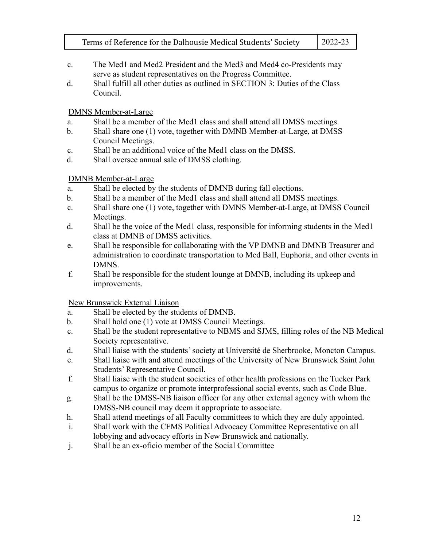- 
- c. The Med1 and Med2 President and the Med3 and Med4 co-Presidents may serve as student representatives on the Progress Committee.
- d. Shall fulfill all other duties as outlined in SECTION 3: Duties of the Class Council.

### DMNS Member-at-Large

- a. Shall be a member of the Med1 class and shall attend all DMSS meetings.
- b. Shall share one (1) vote, together with DMNB Member-at-Large, at DMSS Council Meetings.
- c. Shall be an additional voice of the Med1 class on the DMSS.
- d. Shall oversee annual sale of DMSS clothing.

# DMNB Member-at-Large

- a. Shall be elected by the students of DMNB during fall elections.
- b. Shall be a member of the Med1 class and shall attend all DMSS meetings.
- c. Shall share one (1) vote, together with DMNS Member-at-Large, at DMSS Council Meetings.
- d. Shall be the voice of the Med1 class, responsible for informing students in the Med1 class at DMNB of DMSS activities.
- e. Shall be responsible for collaborating with the VP DMNB and DMNB Treasurer and administration to coordinate transportation to Med Ball, Euphoria, and other events in DMNS.
- f. Shall be responsible for the student lounge at DMNB, including its upkeep and improvements.

New Brunswick External Liaison

- a. Shall be elected by the students of DMNB.
- b. Shall hold one (1) vote at DMSS Council Meetings.
- c. Shall be the student representative to NBMS and SJMS, filling roles of the NB Medical Society representative.
- d. Shall liaise with the students' society at Université de Sherbrooke, Moncton Campus.
- e. Shall liaise with and attend meetings of the University of New Brunswick Saint John Students' Representative Council.
- f. Shall liaise with the student societies of other health professions on the Tucker Park campus to organize or promote interprofessional social events, such as Code Blue.
- g. Shall be the DMSS-NB liaison officer for any other external agency with whom the DMSS-NB council may deem it appropriate to associate.
- h. Shall attend meetings of all Faculty committees to which they are duly appointed.
- i. Shall work with the CFMS Political Advocacy Committee Representative on all lobbying and advocacy efforts in New Brunswick and nationally.
- j. Shall be an ex-oficio member of the Social Committee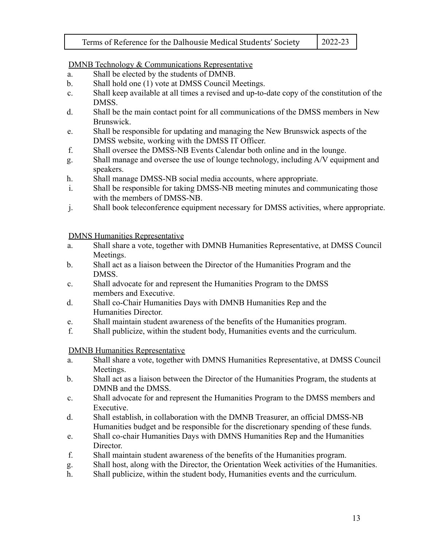DMNB Technology & Communications Representative

- a. Shall be elected by the students of DMNB.
- b. Shall hold one (1) vote at DMSS Council Meetings.
- c. Shall keep available at all times a revised and up-to-date copy of the constitution of the DMSS.
- d. Shall be the main contact point for all communications of the DMSS members in New Brunswick.
- e. Shall be responsible for updating and managing the New Brunswick aspects of the DMSS website, working with the DMSS IT Officer.
- f. Shall oversee the DMSS-NB Events Calendar both online and in the lounge.
- g. Shall manage and oversee the use of lounge technology, including A/V equipment and speakers.
- h. Shall manage DMSS-NB social media accounts, where appropriate.
- i. Shall be responsible for taking DMSS-NB meeting minutes and communicating those with the members of DMSS-NB.
- j. Shall book teleconference equipment necessary for DMSS activities, where appropriate.

DMNS Humanities Representative

- a. Shall share a vote, together with DMNB Humanities Representative, at DMSS Council Meetings.
- b. Shall act as a liaison between the Director of the Humanities Program and the DMSS.
- c. Shall advocate for and represent the Humanities Program to the DMSS members and Executive.
- d. Shall co-Chair Humanities Days with DMNB Humanities Rep and the Humanities Director.
- e. Shall maintain student awareness of the benefits of the Humanities program.
- f. Shall publicize, within the student body, Humanities events and the curriculum.

DMNB Humanities Representative

- a. Shall share a vote, together with DMNS Humanities Representative, at DMSS Council Meetings.
- b. Shall act as a liaison between the Director of the Humanities Program, the students at DMNB and the DMSS.
- c. Shall advocate for and represent the Humanities Program to the DMSS members and **Executive**
- d. Shall establish, in collaboration with the DMNB Treasurer, an official DMSS-NB Humanities budget and be responsible for the discretionary spending of these funds.
- e. Shall co-chair Humanities Days with DMNS Humanities Rep and the Humanities Director.
- f. Shall maintain student awareness of the benefits of the Humanities program.
- g. Shall host, along with the Director, the Orientation Week activities of the Humanities.
- h. Shall publicize, within the student body, Humanities events and the curriculum.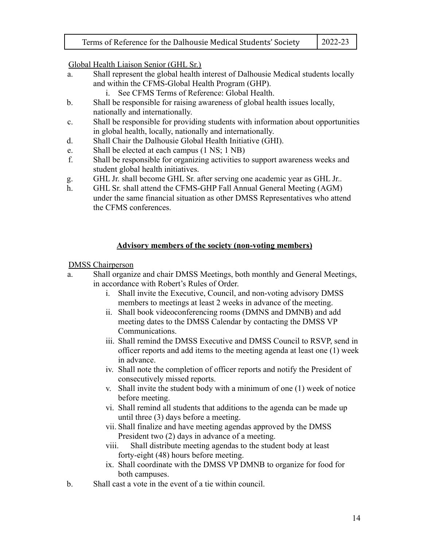|  | Terms of Reference for the Dalhousie Medical Students' Society | $\mid$ 2022-23 |
|--|----------------------------------------------------------------|----------------|
|--|----------------------------------------------------------------|----------------|

Global Health Liaison Senior (GHL Sr.)

- a. Shall represent the global health interest of Dalhousie Medical students locally and within the CFMS-Global Health Program (GHP).
	- i. See CFMS Terms of Reference: Global Health.
- b. Shall be responsible for raising awareness of global health issues locally, nationally and internationally.
- c. Shall be responsible for providing students with information about opportunities in global health, locally, nationally and internationally.
- d. Shall Chair the Dalhousie Global Health Initiative (GHI).
- e. Shall be elected at each campus (1 NS; 1 NB)
- f. Shall be responsible for organizing activities to support awareness weeks and student global health initiatives.
- g. GHL Jr. shall become GHL Sr. after serving one academic year as GHL Jr..
- h. GHL Sr. shall attend the CFMS-GHP Fall Annual General Meeting (AGM) under the same financial situation as other DMSS Representatives who attend the CFMS conferences.

#### **Advisory members of the society (non-voting members)**

#### DMSS Chairperson

- a. Shall organize and chair DMSS Meetings, both monthly and General Meetings, in accordance with Robert's Rules of Order.
	- i. Shall invite the Executive, Council, and non-voting advisory DMSS members to meetings at least 2 weeks in advance of the meeting.
	- ii. Shall book videoconferencing rooms (DMNS and DMNB) and add meeting dates to the DMSS Calendar by contacting the DMSS VP Communications.
	- iii. Shall remind the DMSS Executive and DMSS Council to RSVP, send in officer reports and add items to the meeting agenda at least one (1) week in advance.
	- iv. Shall note the completion of officer reports and notify the President of consecutively missed reports.
	- v. Shall invite the student body with a minimum of one (1) week of notice before meeting.
	- vi. Shall remind all students that additions to the agenda can be made up until three (3) days before a meeting.
	- vii. Shall finalize and have meeting agendas approved by the DMSS President two (2) days in advance of a meeting.
	- viii. Shall distribute meeting agendas to the student body at least forty-eight (48) hours before meeting.
	- ix. Shall coordinate with the DMSS VP DMNB to organize for food for both campuses.
- b. Shall cast a vote in the event of a tie within council.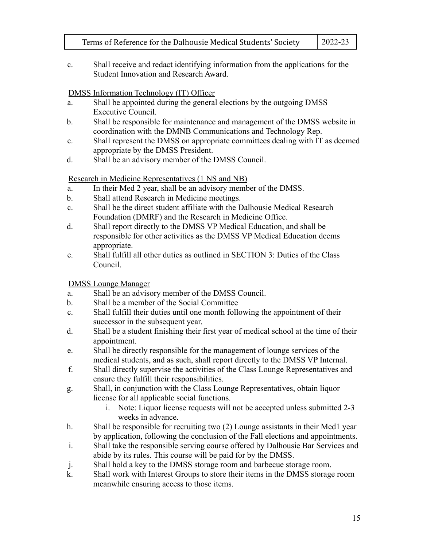c. Shall receive and redact identifying information from the applications for the Student Innovation and Research Award.

# DMSS Information Technology (IT) Officer

- a. Shall be appointed during the general elections by the outgoing DMSS Executive Council.
- b. Shall be responsible for maintenance and management of the DMSS website in coordination with the DMNB Communications and Technology Rep.
- c. Shall represent the DMSS on appropriate committees dealing with IT as deemed appropriate by the DMSS President.
- d. Shall be an advisory member of the DMSS Council.

# Research in Medicine Representatives (1 NS and NB)

- a. In their Med 2 year, shall be an advisory member of the DMSS.
- b. Shall attend Research in Medicine meetings.
- c. Shall be the direct student affiliate with the Dalhousie Medical Research Foundation (DMRF) and the Research in Medicine Office.
- d. Shall report directly to the DMSS VP Medical Education, and shall be responsible for other activities as the DMSS VP Medical Education deems appropriate.
- e. Shall fulfill all other duties as outlined in SECTION 3: Duties of the Class Council.

# DMSS Lounge Manager

- a. Shall be an advisory member of the DMSS Council.
- b. Shall be a member of the Social Committee
- c. Shall fulfill their duties until one month following the appointment of their successor in the subsequent year.
- d. Shall be a student finishing their first year of medical school at the time of their appointment.
- e. Shall be directly responsible for the management of lounge services of the medical students, and as such, shall report directly to the DMSS VP Internal.
- f. Shall directly supervise the activities of the Class Lounge Representatives and ensure they fulfill their responsibilities.
- g. Shall, in conjunction with the Class Lounge Representatives, obtain liquor license for all applicable social functions.
	- i. Note: Liquor license requests will not be accepted unless submitted 2-3 weeks in advance.
- h. Shall be responsible for recruiting two (2) Lounge assistants in their Med1 year by application, following the conclusion of the Fall elections and appointments.
- i. Shall take the responsible serving course offered by Dalhousie Bar Services and abide by its rules. This course will be paid for by the DMSS.
- j. Shall hold a key to the DMSS storage room and barbecue storage room.
- k. Shall work with Interest Groups to store their items in the DMSS storage room meanwhile ensuring access to those items.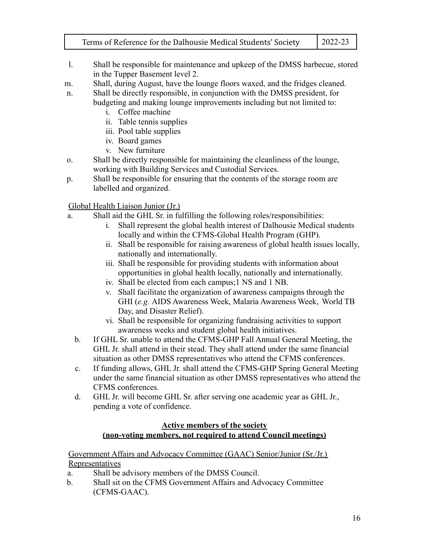- l. Shall be responsible for maintenance and upkeep of the DMSS barbecue, stored in the Tupper Basement level 2.
- m. Shall, during August, have the lounge floors waxed, and the fridges cleaned.
- n. Shall be directly responsible, in conjunction with the DMSS president, for budgeting and making lounge improvements including but not limited to:
	- i. Coffee machine
	- ii. Table tennis supplies
	- iii. Pool table supplies
	- iv. Board games
	- v. New furniture
- o. Shall be directly responsible for maintaining the cleanliness of the lounge, working with Building Services and Custodial Services.
- p. Shall be responsible for ensuring that the contents of the storage room are labelled and organized.

#### Global Health Liaison Junior (Jr.)

- a. Shall aid the GHL Sr. in fulfilling the following roles/responsibilities:
	- i. Shall represent the global health interest of Dalhousie Medical students locally and within the CFMS-Global Health Program (GHP).
	- ii. Shall be responsible for raising awareness of global health issues locally, nationally and internationally.
	- iii. Shall be responsible for providing students with information about opportunities in global health locally, nationally and internationally.
	- iv. Shall be elected from each campus;1 NS and 1 NB.
	- v. Shall facilitate the organization of awareness campaigns through the GHI (*e.g.* AIDS Awareness Week, Malaria Awareness Week, World TB Day, and Disaster Relief).
	- vi. Shall be responsible for organizing fundraising activities to support awareness weeks and student global health initiatives.
	- b. If GHL Sr. unable to attend the CFMS-GHP Fall Annual General Meeting, the GHL Jr. shall attend in their stead. They shall attend under the same financial situation as other DMSS representatives who attend the CFMS conferences.
	- c. If funding allows, GHL Jr. shall attend the CFMS-GHP Spring General Meeting under the same financial situation as other DMSS representatives who attend the CFMS conferences.
	- d. GHL Jr. will become GHL Sr. after serving one academic year as GHL Jr., pending a vote of confidence.

#### **Active members of the society (non-voting members, not required to attend Council meetings)**

Government Affairs and Advocacy Committee (GAAC) Senior/Junior (Sr./Jr.) **Representatives** 

- a. Shall be advisory members of the DMSS Council.
- b. Shall sit on the CFMS Government Affairs and Advocacy Committee (CFMS-GAAC).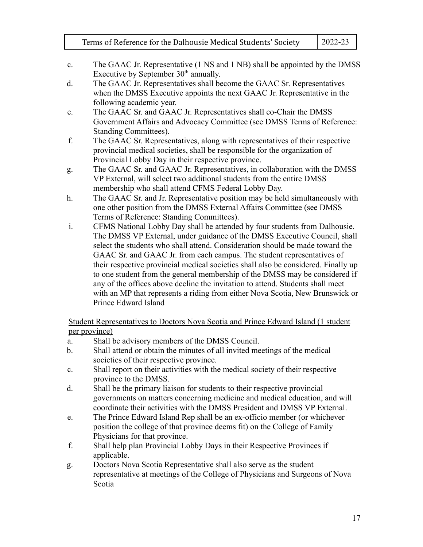- c. The GAAC Jr. Representative (1 NS and 1 NB) shall be appointed by the DMSS Executive by September  $30<sup>th</sup>$  annually.
- d. The GAAC Jr. Representatives shall become the GAAC Sr. Representatives when the DMSS Executive appoints the next GAAC Jr. Representative in the following academic year.
- e. The GAAC Sr. and GAAC Jr. Representatives shall co-Chair the DMSS Government Affairs and Advocacy Committee (see DMSS Terms of Reference: Standing Committees).
- f. The GAAC Sr. Representatives, along with representatives of their respective provincial medical societies, shall be responsible for the organization of Provincial Lobby Day in their respective province.
- g. The GAAC Sr. and GAAC Jr. Representatives, in collaboration with the DMSS VP External, will select two additional students from the entire DMSS membership who shall attend CFMS Federal Lobby Day.
- h. The GAAC Sr. and Jr. Representative position may be held simultaneously with one other position from the DMSS External Affairs Committee (see DMSS Terms of Reference: Standing Committees).
- i. CFMS National Lobby Day shall be attended by four students from Dalhousie. The DMSS VP External, under guidance of the DMSS Executive Council, shall select the students who shall attend. Consideration should be made toward the GAAC Sr. and GAAC Jr. from each campus. The student representatives of their respective provincial medical societies shall also be considered. Finally up to one student from the general membership of the DMSS may be considered if any of the offices above decline the invitation to attend. Students shall meet with an MP that represents a riding from either Nova Scotia, New Brunswick or Prince Edward Island

Student Representatives to Doctors Nova Scotia and Prince Edward Island (1 student per province)

- a. Shall be advisory members of the DMSS Council.
- b. Shall attend or obtain the minutes of all invited meetings of the medical societies of their respective province.
- c. Shall report on their activities with the medical society of their respective province to the DMSS.
- d. Shall be the primary liaison for students to their respective provincial governments on matters concerning medicine and medical education, and will coordinate their activities with the DMSS President and DMSS VP External.
- e. The Prince Edward Island Rep shall be an ex-officio member (or whichever position the college of that province deems fit) on the College of Family Physicians for that province.
- f. Shall help plan Provincial Lobby Days in their Respective Provinces if applicable.
- g. Doctors Nova Scotia Representative shall also serve as the student representative at meetings of the College of Physicians and Surgeons of Nova Scotia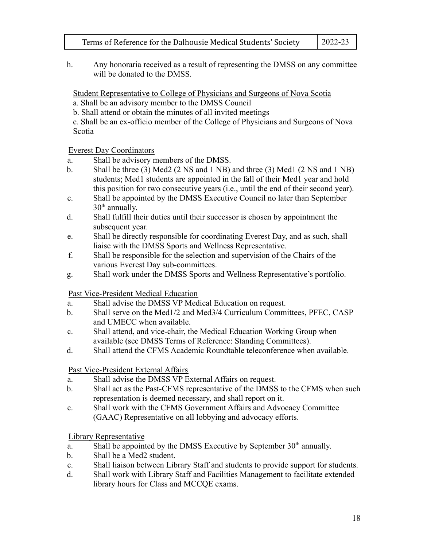h. Any honoraria received as a result of representing the DMSS on any committee will be donated to the DMSS.

Student Representative to College of Physicians and Surgeons of Nova Scotia

- a. Shall be an advisory member to the DMSS Council
- b. Shall attend or obtain the minutes of all invited meetings
- c. Shall be an ex-officio member of the College of Physicians and Surgeons of Nova Scotia

# Everest Day Coordinators

- a. Shall be advisory members of the DMSS.
- b. Shall be three (3) Med2 (2 NS and 1 NB) and three (3) Med1 (2 NS and 1 NB) students; Med1 students are appointed in the fall of their Med1 year and hold this position for two consecutive years (i.e., until the end of their second year).
- c. Shall be appointed by the DMSS Executive Council no later than September  $30<sup>th</sup>$  annually.
- d. Shall fulfill their duties until their successor is chosen by appointment the subsequent year.
- e. Shall be directly responsible for coordinating Everest Day, and as such, shall liaise with the DMSS Sports and Wellness Representative.
- f. Shall be responsible for the selection and supervision of the Chairs of the various Everest Day sub-committees.
- g. Shall work under the DMSS Sports and Wellness Representative's portfolio.

# Past Vice-President Medical Education

- a. Shall advise the DMSS VP Medical Education on request.
- b. Shall serve on the Med1/2 and Med3/4 Curriculum Committees, PFEC, CASP and UMECC when available.
- c. Shall attend, and vice-chair, the Medical Education Working Group when available (see DMSS Terms of Reference: Standing Committees).
- d. Shall attend the CFMS Academic Roundtable teleconference when available.

# Past Vice-President External Affairs

- a. Shall advise the DMSS VP External Affairs on request.
- b. Shall act as the Past-CFMS representative of the DMSS to the CFMS when such representation is deemed necessary, and shall report on it.
- c. Shall work with the CFMS Government Affairs and Advocacy Committee (GAAC) Representative on all lobbying and advocacy efforts.

# Library Representative

- a. Shall be appointed by the DMSS Executive by September  $30<sup>th</sup>$  annually.
- b. Shall be a Med2 student.
- c. Shall liaison between Library Staff and students to provide support for students.
- d. Shall work with Library Staff and Facilities Management to facilitate extended library hours for Class and MCCQE exams.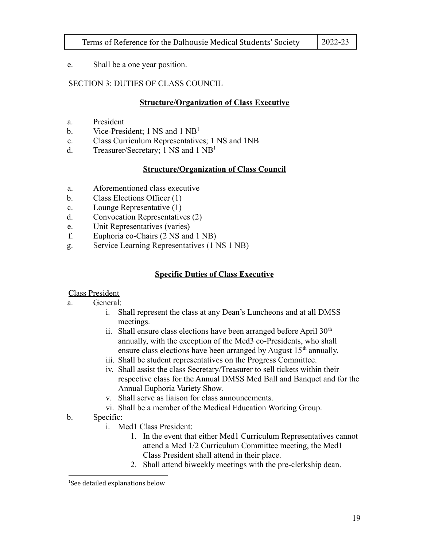e. Shall be a one year position.

# SECTION 3: DUTIES OF CLASS COUNCIL

# **Structure/Organization of Class Executive**

- a. President
- b. Vice-President; 1 NS and 1 NB<sup>1</sup>
- c. Class Curriculum Representatives; 1 NS and 1NB
- d. Treasurer/Secretary; 1 NS and  $1 \text{ NB}^1$

# **Structure/Organization of Class Council**

- a. Aforementioned class executive
- b. Class Elections Officer (1)
- c. Lounge Representative (1)
- d. Convocation Representatives (2)
- e. Unit Representatives (varies)
- f. Euphoria co-Chairs (2 NS and 1 NB)
- g. Service Learning Representatives (1 NS 1 NB)

# **Specific Duties of Class Executive**

#### Class President

#### a. General:

- i. Shall represent the class at any Dean's Luncheons and at all DMSS meetings.
- ii. Shall ensure class elections have been arranged before April  $30<sup>th</sup>$ annually, with the exception of the Med3 co-Presidents, who shall ensure class elections have been arranged by August  $15<sup>th</sup>$  annually.
- iii. Shall be student representatives on the Progress Committee.
- iv. Shall assist the class Secretary/Treasurer to sell tickets within their respective class for the Annual DMSS Med Ball and Banquet and for the Annual Euphoria Variety Show.
- v. Shall serve as liaison for class announcements.
- vi. Shall be a member of the Medical Education Working Group.

# b. Specific:

- i. Med1 Class President:
	- 1. In the event that either Med1 Curriculum Representatives cannot attend a Med 1/2 Curriculum Committee meeting, the Med1 Class President shall attend in their place.
	- 2. Shall attend biweekly meetings with the pre-clerkship dean.

<sup>&</sup>lt;sup>1</sup>See detailed explanations below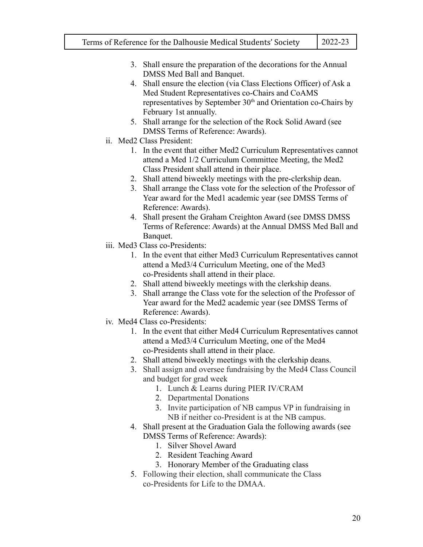- 3. Shall ensure the preparation of the decorations for the Annual DMSS Med Ball and Banquet.
- 4. Shall ensure the election (via Class Elections Officer) of Ask a Med Student Representatives co-Chairs and CoAMS representatives by September 30<sup>th</sup> and Orientation co-Chairs by February 1st annually.
- 5. Shall arrange for the selection of the Rock Solid Award (see DMSS Terms of Reference: Awards).
- ii. Med2 Class President:
	- 1. In the event that either Med2 Curriculum Representatives cannot attend a Med 1/2 Curriculum Committee Meeting, the Med2 Class President shall attend in their place.
	- 2. Shall attend biweekly meetings with the pre-clerkship dean.
	- 3. Shall arrange the Class vote for the selection of the Professor of Year award for the Med1 academic year (see DMSS Terms of Reference: Awards).
	- 4. Shall present the Graham Creighton Award (see DMSS DMSS Terms of Reference: Awards) at the Annual DMSS Med Ball and Banquet.
- iii. Med3 Class co-Presidents:
	- 1. In the event that either Med3 Curriculum Representatives cannot attend a Med3/4 Curriculum Meeting, one of the Med3 co-Presidents shall attend in their place.
	- 2. Shall attend biweekly meetings with the clerkship deans.
	- 3. Shall arrange the Class vote for the selection of the Professor of Year award for the Med2 academic year (see DMSS Terms of Reference: Awards).
- iv. Med4 Class co-Presidents:
	- 1. In the event that either Med4 Curriculum Representatives cannot attend a Med3/4 Curriculum Meeting, one of the Med4 co-Presidents shall attend in their place.
	- 2. Shall attend biweekly meetings with the clerkship deans.
	- 3. Shall assign and oversee fundraising by the Med4 Class Council and budget for grad week
		- 1. Lunch & Learns during PIER IV/CRAM
		- 2. Departmental Donations
		- 3. Invite participation of NB campus VP in fundraising in NB if neither co-President is at the NB campus.
	- 4. Shall present at the Graduation Gala the following awards (see DMSS Terms of Reference: Awards):
		- 1. Silver Shovel Award
		- 2. Resident Teaching Award
		- 3. Honorary Member of the Graduating class
	- 5. Following their election, shall communicate the Class co-Presidents for Life to the DMAA.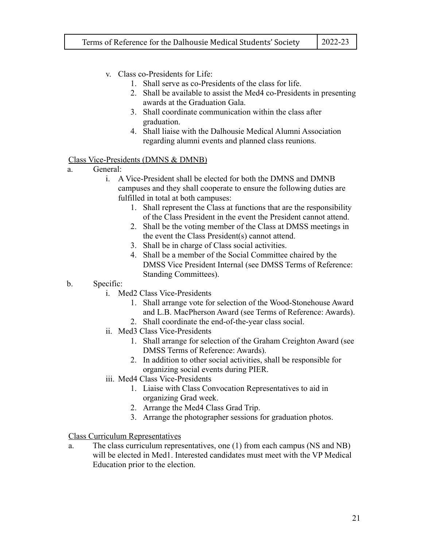- v. Class co-Presidents for Life:
	- 1. Shall serve as co-Presidents of the class for life.
	- 2. Shall be available to assist the Med4 co-Presidents in presenting awards at the Graduation Gala.
	- 3. Shall coordinate communication within the class after graduation.
	- 4. Shall liaise with the Dalhousie Medical Alumni Association regarding alumni events and planned class reunions.

#### Class Vice-Presidents (DMNS & DMNB)

- a. General:
	- i. A Vice-President shall be elected for both the DMNS and DMNB campuses and they shall cooperate to ensure the following duties are fulfilled in total at both campuses:
		- 1. Shall represent the Class at functions that are the responsibility of the Class President in the event the President cannot attend.
		- 2. Shall be the voting member of the Class at DMSS meetings in the event the Class President(s) cannot attend.
		- 3. Shall be in charge of Class social activities.
		- 4. Shall be a member of the Social Committee chaired by the DMSS Vice President Internal (see DMSS Terms of Reference: Standing Committees).
- b. Specific:
	- i. Med2 Class Vice-Presidents
		- 1. Shall arrange vote for selection of the Wood-Stonehouse Award and L.B. MacPherson Award (see Terms of Reference: Awards).
		- 2. Shall coordinate the end-of-the-year class social.
	- ii. Med3 Class Vice-Presidents
		- 1. Shall arrange for selection of the Graham Creighton Award (see DMSS Terms of Reference: Awards).
		- 2. In addition to other social activities, shall be responsible for organizing social events during PIER.
	- iii. Med4 Class Vice-Presidents
		- 1. Liaise with Class Convocation Representatives to aid in organizing Grad week.
		- 2. Arrange the Med4 Class Grad Trip.
		- 3. Arrange the photographer sessions for graduation photos.

#### Class Curriculum Representatives

a. The class curriculum representatives, one (1) from each campus (NS and NB) will be elected in Med1. Interested candidates must meet with the VP Medical Education prior to the election.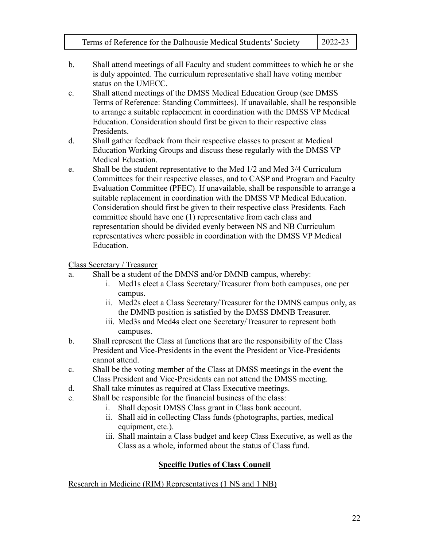- b. Shall attend meetings of all Faculty and student committees to which he or she is duly appointed. The curriculum representative shall have voting member status on the UMECC.
- c. Shall attend meetings of the DMSS Medical Education Group (see DMSS Terms of Reference: Standing Committees). If unavailable, shall be responsible to arrange a suitable replacement in coordination with the DMSS VP Medical Education. Consideration should first be given to their respective class Presidents.
- d. Shall gather feedback from their respective classes to present at Medical Education Working Groups and discuss these regularly with the DMSS VP Medical Education.
- e. Shall be the student representative to the Med 1/2 and Med 3/4 Curriculum Committees for their respective classes, and to CASP and Program and Faculty Evaluation Committee (PFEC). If unavailable, shall be responsible to arrange a suitable replacement in coordination with the DMSS VP Medical Education. Consideration should first be given to their respective class Presidents. Each committee should have one (1) representative from each class and representation should be divided evenly between NS and NB Curriculum representatives where possible in coordination with the DMSS VP Medical Education.

Class Secretary / Treasurer

- a. Shall be a student of the DMNS and/or DMNB campus, whereby:
	- i. Med1s elect a Class Secretary/Treasurer from both campuses, one per campus.
	- ii. Med2s elect a Class Secretary/Treasurer for the DMNS campus only, as the DMNB position is satisfied by the DMSS DMNB Treasurer.
	- iii. Med3s and Med4s elect one Secretary/Treasurer to represent both campuses.
- b. Shall represent the Class at functions that are the responsibility of the Class President and Vice-Presidents in the event the President or Vice-Presidents cannot attend.
- c. Shall be the voting member of the Class at DMSS meetings in the event the Class President and Vice-Presidents can not attend the DMSS meeting.
- d. Shall take minutes as required at Class Executive meetings.
- e. Shall be responsible for the financial business of the class:
	- i. Shall deposit DMSS Class grant in Class bank account.
	- ii. Shall aid in collecting Class funds (photographs, parties, medical equipment, etc.).
	- iii. Shall maintain a Class budget and keep Class Executive, as well as the Class as a whole, informed about the status of Class fund.

# **Specific Duties of Class Council**

Research in Medicine (RIM) Representatives (1 NS and 1 NB)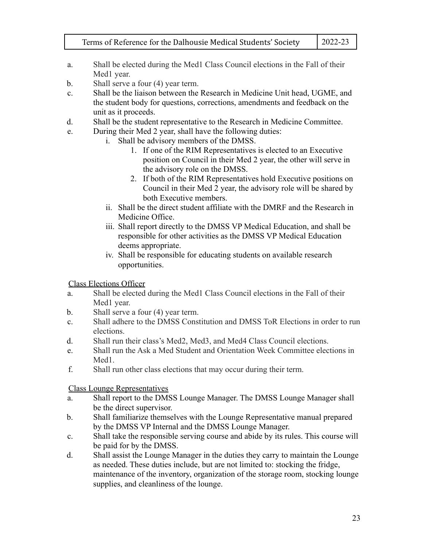- a. Shall be elected during the Med1 Class Council elections in the Fall of their Med1 year.
- b. Shall serve a four (4) year term.
- c. Shall be the liaison between the Research in Medicine Unit head, UGME, and the student body for questions, corrections, amendments and feedback on the unit as it proceeds.
- d. Shall be the student representative to the Research in Medicine Committee.
- e. During their Med 2 year, shall have the following duties:
	- i. Shall be advisory members of the DMSS.
		- 1. If one of the RIM Representatives is elected to an Executive position on Council in their Med 2 year, the other will serve in the advisory role on the DMSS.
		- 2. If both of the RIM Representatives hold Executive positions on Council in their Med 2 year, the advisory role will be shared by both Executive members.
	- ii. Shall be the direct student affiliate with the DMRF and the Research in Medicine Office.
	- iii. Shall report directly to the DMSS VP Medical Education, and shall be responsible for other activities as the DMSS VP Medical Education deems appropriate.
	- iv. Shall be responsible for educating students on available research opportunities.

Class Elections Officer

- a. Shall be elected during the Med1 Class Council elections in the Fall of their Med1 year.
- b. Shall serve a four (4) year term.
- c. Shall adhere to the DMSS Constitution and DMSS ToR Elections in order to run elections.
- d. Shall run their class's Med2, Med3, and Med4 Class Council elections.
- e. Shall run the Ask a Med Student and Orientation Week Committee elections in Med1.
- f. Shall run other class elections that may occur during their term.

Class Lounge Representatives

- a. Shall report to the DMSS Lounge Manager. The DMSS Lounge Manager shall be the direct supervisor.
- b. Shall familiarize themselves with the Lounge Representative manual prepared by the DMSS VP Internal and the DMSS Lounge Manager.
- c. Shall take the responsible serving course and abide by its rules. This course will be paid for by the DMSS.
- d. Shall assist the Lounge Manager in the duties they carry to maintain the Lounge as needed. These duties include, but are not limited to: stocking the fridge, maintenance of the inventory, organization of the storage room, stocking lounge supplies, and cleanliness of the lounge.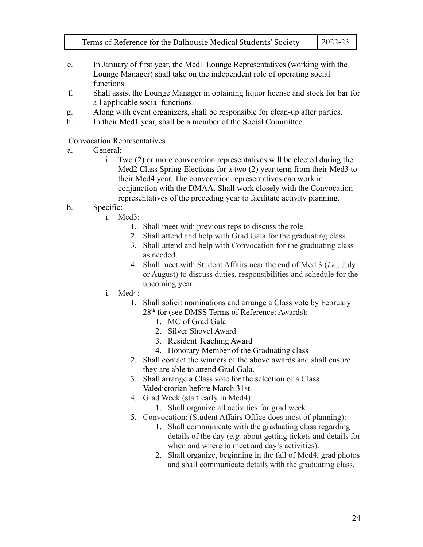- 
- e. In January of first year, the Med1 Lounge Representatives (working with the Lounge Manager) shall take on the independent role of operating social functions.
- f. Shall assist the Lounge Manager in obtaining liquor license and stock for bar for all applicable social functions.
- g. Along with event organizers, shall be responsible for clean-up after parties.
- h. In their Med1 year, shall be a member of the Social Committee.

#### Convocation Representatives

- a. General:
	- i. Two (2) or more convocation representatives will be elected during the Med2 Class Spring Elections for a two (2) year term from their Med3 to their Med4 year. The convocation representatives can work in conjunction with the DMAA. Shall work closely with the Convocation representatives of the preceding year to facilitate activity planning.
- b. Specific:
	- i. Med3:
		- 1. Shall meet with previous reps to discuss the role.
		- 2. Shall attend and help with Grad Gala for the graduating class.
		- 3. Shall attend and help with Convocation for the graduating class as needed.
		- 4. Shall meet with Student Affairs near the end of Med 3 (*i.e.*, July or August) to discuss duties, responsibilities and schedule for the upcoming year.
	- i. Med4:
		- 1. Shall solicit nominations and arrange a Class vote by February 28<sup>th</sup> for (see DMSS Terms of Reference: Awards):
			- 1. MC of Grad Gala
			- 2. Silver Shovel Award
			- 3. Resident Teaching Award
			- 4. Honorary Member of the Graduating class
		- 2. Shall contact the winners of the above awards and shall ensure they are able to attend Grad Gala.
		- 3. Shall arrange a Class vote for the selection of a Class Valedictorian before March 31st.
		- 4. Grad Week (start early in Med4):
			- 1. Shall organize all activities for grad week.
		- 5. Convocation: (Student Affairs Office does most of planning):
			- 1. Shall communicate with the graduating class regarding details of the day (*e.g.* about getting tickets and details for when and where to meet and day's activities).
			- 2. Shall organize, beginning in the fall of Med4, grad photos and shall communicate details with the graduating class.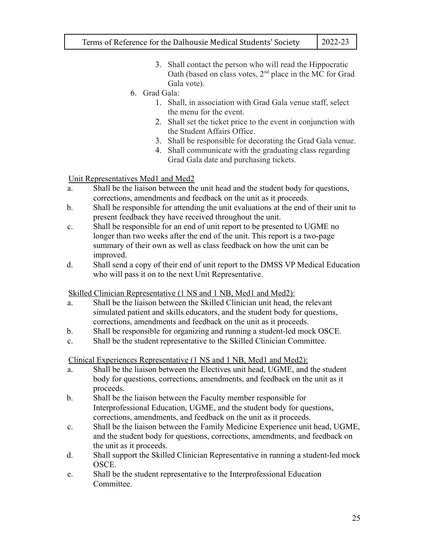- 3. Shall contact the person who will read the Hippocratic Oath (based on class votes,  $2<sup>nd</sup>$  place in the MC for Grad Gala vote).
- 6. Grad Gala:
	- 1. Shall, in association with Grad Gala venue staff, select the menu for the event.
	- 2. Shall set the ticket price to the event in conjunction with the Student Affairs Office.
	- 3. Shall be responsible for decorating the Grad Gala venue.
	- 4. Shall communicate with the graduating class regarding Grad Gala date and purchasing tickets.

# Unit Representatives Med1 and Med2

- a. Shall be the liaison between the unit head and the student body for questions, corrections, amendments and feedback on the unit as it proceeds.
- b. Shall be responsible for attending the unit evaluations at the end of their unit to present feedback they have received throughout the unit.
- c. Shall be responsible for an end of unit report to be presented to UGME no longer than two weeks after the end of the unit. This report is a two-page summary of their own as well as class feedback on how the unit can be improved.
- d. Shall send a copy of their end of unit report to the DMSS VP Medical Education who will pass it on to the next Unit Representative.

#### Skilled Clinician Representative (1 NS and 1 NB, Med1 and Med2):

- a. Shall be the liaison between the Skilled Clinician unit head, the relevant simulated patient and skills educators, and the student body for questions, corrections, amendments and feedback on the unit as it proceeds.
- b. Shall be responsible for organizing and running a student-led mock OSCE.
- c. Shall be the student representative to the Skilled Clinician Committee.

#### Clinical Experiences Representative (1 NS and 1 NB, Med1 and Med2):

- a. Shall be the liaison between the Electives unit head, UGME, and the student body for questions, corrections, amendments, and feedback on the unit as it proceeds.
- b. Shall be the liaison between the Faculty member responsible for Interprofessional Education, UGME, and the student body for questions, corrections, amendments, and feedback on the unit as it proceeds.
- c. Shall be the liaison between the Family Medicine Experience unit head, UGME, and the student body for questions, corrections, amendments, and feedback on the unit as it proceeds.
- d. Shall support the Skilled Clinician Representative in running a student-led mock OSCE.
- e. Shall be the student representative to the Interprofessional Education **Committee**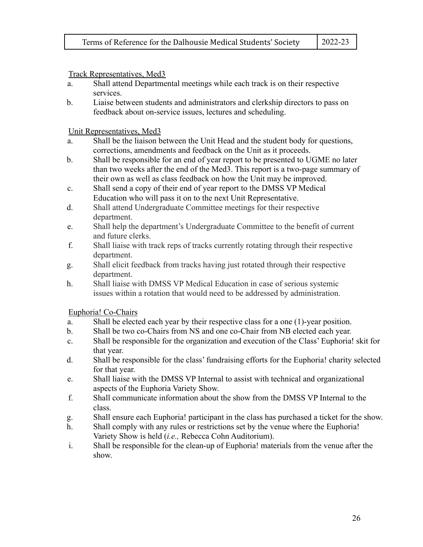Track Representatives, Med3

- a. Shall attend Departmental meetings while each track is on their respective services.
- b. Liaise between students and administrators and clerkship directors to pass on feedback about on-service issues, lectures and scheduling.

Unit Representatives, Med3

- a. Shall be the liaison between the Unit Head and the student body for questions, corrections, amendments and feedback on the Unit as it proceeds.
- b. Shall be responsible for an end of year report to be presented to UGME no later than two weeks after the end of the Med3. This report is a two-page summary of their own as well as class feedback on how the Unit may be improved.
- c. Shall send a copy of their end of year report to the DMSS VP Medical Education who will pass it on to the next Unit Representative.
- d. Shall attend Undergraduate Committee meetings for their respective department.
- e. Shall help the department's Undergraduate Committee to the benefit of current and future clerks.
- f. Shall liaise with track reps of tracks currently rotating through their respective department.
- g. Shall elicit feedback from tracks having just rotated through their respective department.
- h. Shall liaise with DMSS VP Medical Education in case of serious systemic issues within a rotation that would need to be addressed by administration.

Euphoria! Co-Chairs

- a. Shall be elected each year by their respective class for a one (1)-year position.
- b. Shall be two co-Chairs from NS and one co-Chair from NB elected each year.
- c. Shall be responsible for the organization and execution of the Class' Euphoria! skit for that year.
- d. Shall be responsible for the class' fundraising efforts for the Euphoria! charity selected for that year.
- e. Shall liaise with the DMSS VP Internal to assist with technical and organizational aspects of the Euphoria Variety Show.
- f. Shall communicate information about the show from the DMSS VP Internal to the class.
- g. Shall ensure each Euphoria! participant in the class has purchased a ticket for the show.
- h. Shall comply with any rules or restrictions set by the venue where the Euphoria! Variety Show is held (*i.e.,* Rebecca Cohn Auditorium).
- i. Shall be responsible for the clean-up of Euphoria! materials from the venue after the show.